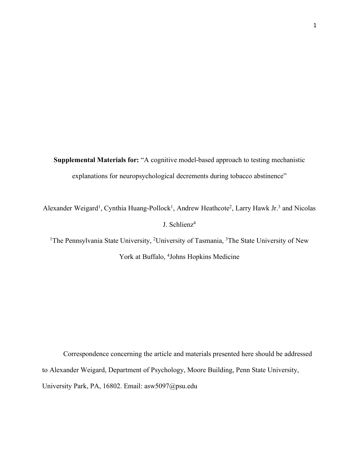**Supplemental Materials for:** "A cognitive model-based approach to testing mechanistic explanations for neuropsychological decrements during tobacco abstinence"

Alexander Weigard<sup>1</sup>, Cynthia Huang-Pollock<sup>1</sup>, Andrew Heathcote<sup>2</sup>, Larry Hawk Jr.<sup>3</sup> and Nicolas J. Schlienz4

<sup>1</sup>The Pennsylvania State University, <sup>2</sup>University of Tasmania, <sup>3</sup>The State University of New York at Buffalo, <sup>4</sup>Johns Hopkins Medicine

Correspondence concerning the article and materials presented here should be addressed to Alexander Weigard, Department of Psychology, Moore Building, Penn State University, University Park, PA, 16802. Email: asw5097@psu.edu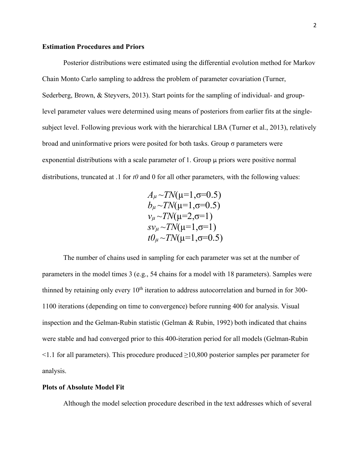## **Estimation Procedures and Priors**

Posterior distributions were estimated using the differential evolution method for Markov Chain Monto Carlo sampling to address the problem of parameter covariation (Turner, Sederberg, Brown, & Steyvers, 2013). Start points for the sampling of individual- and grouplevel parameter values were determined using means of posteriors from earlier fits at the singlesubject level. Following previous work with the hierarchical LBA (Turner et al., 2013), relatively broad and uninformative priors were posited for both tasks. Group σ parameters were exponential distributions with a scale parameter of 1. Group  $\mu$  priors were positive normal distributions, truncated at .1 for *t0* and 0 for all other parameters, with the following values:

> $A_\mu \sim TN(\mu=1, \sigma=0.5)$  $b<sub>u</sub> \sim TN(\mu=1, \sigma=0.5)$  $v_{\mu} \sim TN(\mu=2, \sigma=1)$  $s\nu_{\mu} \sim TN(\mu=1, \sigma=1)$  $t\theta_{\mu} \sim TN(\mu=1, \sigma=0.5)$

The number of chains used in sampling for each parameter was set at the number of parameters in the model times 3 (e.g., 54 chains for a model with 18 parameters). Samples were thinned by retaining only every  $10<sup>th</sup>$  iteration to address autocorrelation and burned in for 300-1100 iterations (depending on time to convergence) before running 400 for analysis. Visual inspection and the Gelman-Rubin statistic (Gelman & Rubin, 1992) both indicated that chains were stable and had converged prior to this 400-iteration period for all models (Gelman-Rubin <1.1 for all parameters). This procedure produced ≥10,800 posterior samples per parameter for analysis.

### **Plots of Absolute Model Fit**

Although the model selection procedure described in the text addresses which of several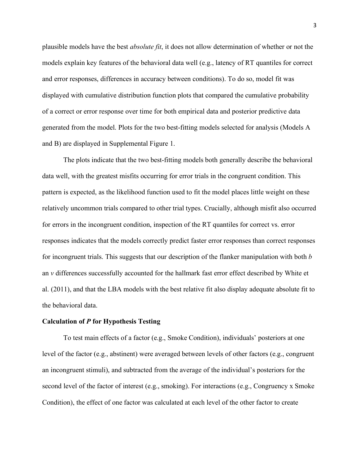plausible models have the best *absolute fit*, it does not allow determination of whether or not the models explain key features of the behavioral data well (e.g., latency of RT quantiles for correct and error responses, differences in accuracy between conditions). To do so, model fit was displayed with cumulative distribution function plots that compared the cumulative probability of a correct or error response over time for both empirical data and posterior predictive data generated from the model. Plots for the two best-fitting models selected for analysis (Models A and B) are displayed in Supplemental Figure 1.

The plots indicate that the two best-fitting models both generally describe the behavioral data well, with the greatest misfits occurring for error trials in the congruent condition. This pattern is expected, as the likelihood function used to fit the model places little weight on these relatively uncommon trials compared to other trial types. Crucially, although misfit also occurred for errors in the incongruent condition, inspection of the RT quantiles for correct vs. error responses indicates that the models correctly predict faster error responses than correct responses for incongruent trials. This suggests that our description of the flanker manipulation with both *b* an *v* differences successfully accounted for the hallmark fast error effect described by White et al. (2011), and that the LBA models with the best relative fit also display adequate absolute fit to the behavioral data.

### **Calculation of** *P* **for Hypothesis Testing**

To test main effects of a factor (e.g., Smoke Condition), individuals' posteriors at one level of the factor (e.g., abstinent) were averaged between levels of other factors (e.g., congruent an incongruent stimuli), and subtracted from the average of the individual's posteriors for the second level of the factor of interest (e.g., smoking). For interactions (e.g., Congruency x Smoke Condition), the effect of one factor was calculated at each level of the other factor to create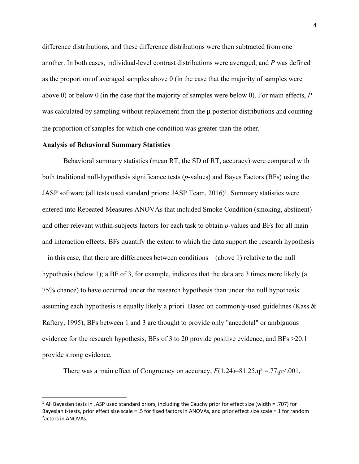difference distributions, and these difference distributions were then subtracted from one another. In both cases, individual-level contrast distributions were averaged, and *P* was defined as the proportion of averaged samples above 0 (in the case that the majority of samples were above 0) or below 0 (in the case that the majority of samples were below 0). For main effects, *P* was calculated by sampling without replacement from the  $\mu$  posterior distributions and counting the proportion of samples for which one condition was greater than the other.

## **Analysis of Behavioral Summary Statistics**

Behavioral summary statistics (mean RT, the SD of RT, accuracy) were compared with both traditional null-hypothesis significance tests (*p*-values) and Bayes Factors (BFs) using the JASP software (all tests used standard priors: JASP Team, 2016)<sup>1</sup>. Summary statistics were entered into Repeated-Measures ANOVAs that included Smoke Condition (smoking, abstinent) and other relevant within-subjects factors for each task to obtain *p*-values and BFs for all main and interaction effects. BFs quantify the extent to which the data support the research hypothesis – in this case, that there are differences between conditions – (above 1) relative to the null hypothesis (below 1); a BF of 3, for example, indicates that the data are 3 times more likely (a 75% chance) to have occurred under the research hypothesis than under the null hypothesis assuming each hypothesis is equally likely a priori. Based on commonly-used guidelines (Kass & Raftery, 1995), BFs between 1 and 3 are thought to provide only "anecdotal" or ambiguous evidence for the research hypothesis, BFs of 3 to 20 provide positive evidence, and BFs >20:1 provide strong evidence.

There was a main effect of Congruency on accuracy,  $F(1,24)=81.25$ ,  $n^2 = 77$ ,  $p < 001$ ,

<sup>&</sup>lt;sup>1</sup> All Bayesian tests in JASP used standard priors, including the Cauchy prior for effect size (width = .707) for Bayesian t-tests, prior effect size scale = .5 for fixed factors in ANOVAs, and prior effect size scale = 1 for random factors in ANOVAs.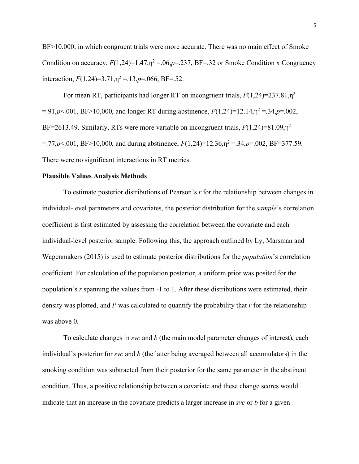BF>10.000, in which congruent trials were more accurate. There was no main effect of Smoke Condition on accuracy,  $F(1,24)=1.47$ ,  $\eta^2 = .06$ ,  $p = .237$ , BF=.32 or Smoke Condition x Congruency interaction,  $F(1,24)=3.71, \eta^2=13, p=.066, \text{BF}=.52.$ 

For mean RT, participants had longer RT on incongruent trials,  $F(1,24)=237.81, \eta^2$  $=$ .91,*p*<.001, BF>10,000, and longer RT during abstinence,  $F(1,24)=12.14, \eta^2 = 0.34, p=0.002$ , BF=2613.49. Similarly, RTs were more variable on incongruent trials, *F*(1,24)=81.09,η<sup>2</sup>  $=$ .77,*p*<.001, BF>10,000, and during abstinence,  $F(1,24)=12.36, \eta^2 = 0.34, p=0.002, \text{BF}=377.59$ . There were no significant interactions in RT metrics.

### **Plausible Values Analysis Methods**

To estimate posterior distributions of Pearson's *r* for the relationship between changes in individual-level parameters and covariates, the posterior distribution for the *sample*'s correlation coefficient is first estimated by assessing the correlation between the covariate and each individual-level posterior sample. Following this, the approach outlined by Ly, Marsman and Wagenmakers (2015) is used to estimate posterior distributions for the *population*'s correlation coefficient. For calculation of the population posterior, a uniform prior was posited for the population's *r* spanning the values from -1 to 1. After these distributions were estimated, their density was plotted, and *P* was calculated to quantify the probability that *r* for the relationship was above 0.

To calculate changes in *svc* and *b* (the main model parameter changes of interest), each individual's posterior for *svc* and *b* (the latter being averaged between all accumulators) in the smoking condition was subtracted from their posterior for the same parameter in the abstinent condition. Thus, a positive relationship between a covariate and these change scores would indicate that an increase in the covariate predicts a larger increase in *svc* or *b* for a given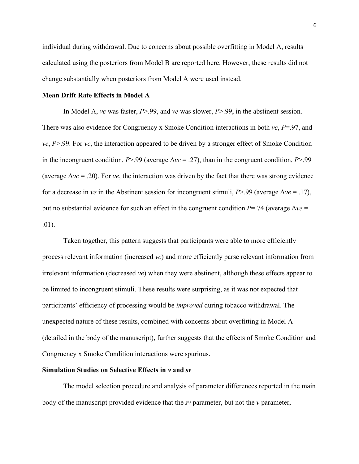individual during withdrawal. Due to concerns about possible overfitting in Model A, results calculated using the posteriors from Model B are reported here. However, these results did not change substantially when posteriors from Model A were used instead.

# **Mean Drift Rate Effects in Model A**

In Model A, *vc* was faster, *P*>.99, and *ve* was slower, *P*>.99, in the abstinent session. There was also evidence for Congruency x Smoke Condition interactions in both *vc*, *P*=.97, and *ve*, *P*>.99. For *vc*, the interaction appeared to be driven by a stronger effect of Smoke Condition in the incongruent condition, *P*>.99 (average Δ*vc* = .27), than in the congruent condition, *P*>.99 (average  $\Delta v c = 0.20$ ). For *ve*, the interaction was driven by the fact that there was strong evidence for a decrease in *ve* in the Abstinent session for incongruent stimuli, *P*>.99 (average Δ*ve* = .17), but no substantial evidence for such an effect in the congruent condition *P*=.74 (average Δ*ve* = .01).

Taken together, this pattern suggests that participants were able to more efficiently process relevant information (increased *vc*) and more efficiently parse relevant information from irrelevant information (decreased *ve*) when they were abstinent, although these effects appear to be limited to incongruent stimuli. These results were surprising, as it was not expected that participants' efficiency of processing would be *improved* during tobacco withdrawal. The unexpected nature of these results, combined with concerns about overfitting in Model A (detailed in the body of the manuscript), further suggests that the effects of Smoke Condition and Congruency x Smoke Condition interactions were spurious.

#### **Simulation Studies on Selective Effects in** *v* **and** *sv*

The model selection procedure and analysis of parameter differences reported in the main body of the manuscript provided evidence that the *sv* parameter, but not the *v* parameter,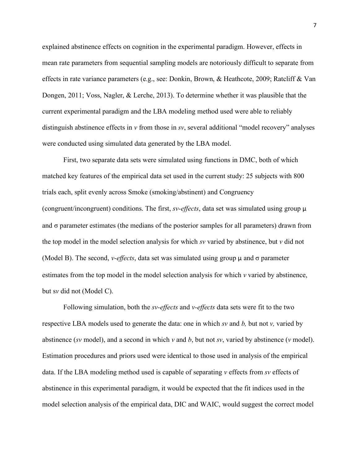explained abstinence effects on cognition in the experimental paradigm. However, effects in mean rate parameters from sequential sampling models are notoriously difficult to separate from effects in rate variance parameters (e.g., see: Donkin, Brown, & Heathcote, 2009; Ratcliff & Van Dongen, 2011; Voss, Nagler, & Lerche, 2013). To determine whether it was plausible that the current experimental paradigm and the LBA modeling method used were able to reliably distinguish abstinence effects in *v* from those in *sv*, several additional "model recovery" analyses were conducted using simulated data generated by the LBA model.

First, two separate data sets were simulated using functions in DMC, both of which matched key features of the empirical data set used in the current study: 25 subjects with 800 trials each, split evenly across Smoke (smoking/abstinent) and Congruency (congruent/incongruent) conditions. The first, *sv-effects*, data set was simulated using group  $\mu$ and  $\sigma$  parameter estimates (the medians of the posterior samples for all parameters) drawn from the top model in the model selection analysis for which *sv* varied by abstinence, but *v* did not (Model B). The second, *v-effects*, data set was simulated using group  $\mu$  and  $\sigma$  parameter estimates from the top model in the model selection analysis for which *v* varied by abstinence, but s*v* did not (Model C).

Following simulation, both the *sv-effects* and *v-effects* data sets were fit to the two respective LBA models used to generate the data: one in which *sv* and *b,* but not *v,* varied by abstinence (*sv* model), and a second in which *v* and *b*, but not *sv*, varied by abstinence (*v* model). Estimation procedures and priors used were identical to those used in analysis of the empirical data. If the LBA modeling method used is capable of separating *v* effects from *sv* effects of abstinence in this experimental paradigm, it would be expected that the fit indices used in the model selection analysis of the empirical data, DIC and WAIC, would suggest the correct model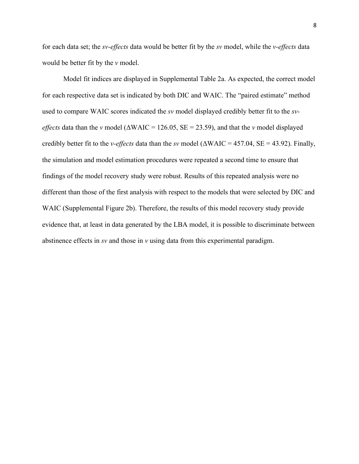for each data set; the *sv-effects* data would be better fit by the *sv* model, while the *v-effects* data would be better fit by the *v* model.

Model fit indices are displayed in Supplemental Table 2a. As expected, the correct model for each respective data set is indicated by both DIC and WAIC. The "paired estimate" method used to compare WAIC scores indicated the *sv* model displayed credibly better fit to the *sveffects* data than the *v* model ( $\triangle$ WAIC = 126.05, SE = 23.59), and that the *v* model displayed credibly better fit to the *v-effects* data than the *sv* model (ΔWAIC = 457.04, SE = 43.92). Finally, the simulation and model estimation procedures were repeated a second time to ensure that findings of the model recovery study were robust. Results of this repeated analysis were no different than those of the first analysis with respect to the models that were selected by DIC and WAIC (Supplemental Figure 2b). Therefore, the results of this model recovery study provide evidence that, at least in data generated by the LBA model, it is possible to discriminate between abstinence effects in *sv* and those in *v* using data from this experimental paradigm.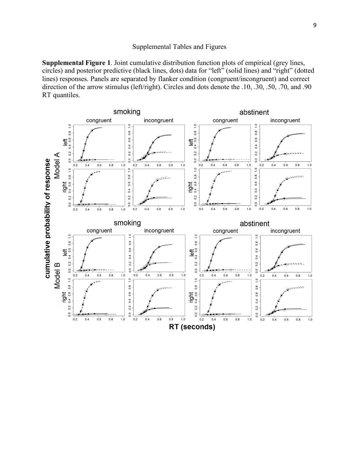## Supplemental Tables and Figures

**Supplemental Figure 1**. Joint cumulative distribution function plots of empirical (grey lines, circles) and posterior predictive (black lines, dots) data for "left" (solid lines) and "right" (dotted lines) responses. Panels are separated by flanker condition (congruent/incongruent) and correct direction of the arrow stimulus (left/right). Circles and dots denote the .10, .30, .50, .70, and .90 RT quantiles.

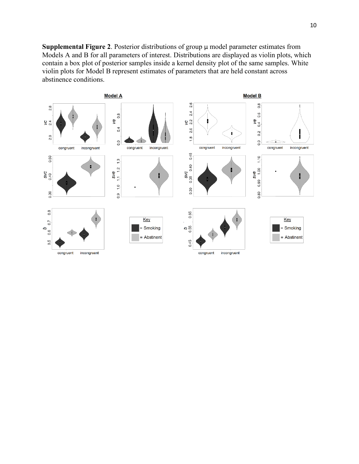**Supplemental Figure 2**. Posterior distributions of group µ model parameter estimates from Models A and B for all parameters of interest. Distributions are displayed as violin plots, which contain a box plot of posterior samples inside a kernel density plot of the same samples. White violin plots for Model B represent estimates of parameters that are held constant across abstinence conditions.

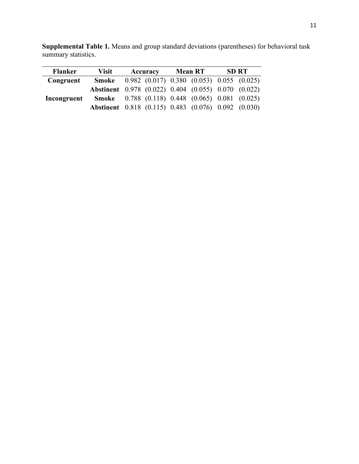| <b>Flanker</b> | Visit | Accuracy | <b>Mean RT</b>                                             | <b>SD RT</b> |
|----------------|-------|----------|------------------------------------------------------------|--------------|
| Congruent      | Smoke |          | $0.982$ (0.017) 0.380 (0.053) 0.055 (0.025)                |              |
|                |       |          | Abstinent 0.978 (0.022) 0.404 (0.055) 0.070 (0.022)        |              |
| Incongruent    |       |          | <b>Smoke</b> 0.788 (0.118) 0.448 (0.065) 0.081 (0.025)     |              |
|                |       |          | <b>Abstinent</b> 0.818 (0.115) 0.483 (0.076) 0.092 (0.030) |              |

**Supplemental Table 1.** Means and group standard deviations (parentheses) for behavioral task summary statistics.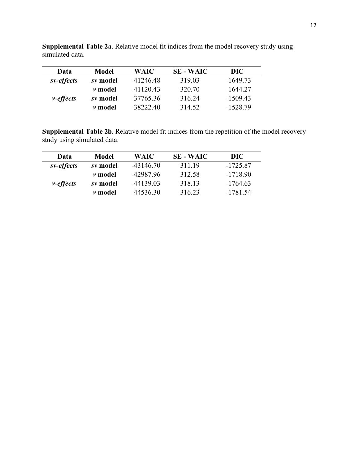| Data              | <b>Model</b>   | WAIC        | <b>SE - WAIC</b> | DIC        |
|-------------------|----------------|-------------|------------------|------------|
| sv-effects        | sv model       | $-41246.48$ | 319.03           | $-164973$  |
|                   | <i>v</i> model | -41120.43   | 320.70           | -1644 27   |
| <i>v</i> -effects | sv model       | $-37765.36$ | 316.24           | $-1509.43$ |
|                   | <i>v</i> model | -38222.40   | 314.52           | $-1528.79$ |

**Supplemental Table 2a**. Relative model fit indices from the model recovery study using simulated data.

**Supplemental Table 2b**. Relative model fit indices from the repetition of the model recovery study using simulated data.

| Data              | <b>Model</b>   | WAIC        | <b>SE - WAIC</b> | DIC <sub>1</sub> |
|-------------------|----------------|-------------|------------------|------------------|
| sv-effects        | sv model       | $-43146.70$ | 311.19           | $-1725.87$       |
|                   | <i>v</i> model | -42987.96   | 312.58           | $-1718.90$       |
| <i>v</i> -effects | sv model       | -44139.03   | 318.13           | $-1764.63$       |
|                   | <i>v</i> model | -44536.30   | 316.23           | $-1781.54$       |